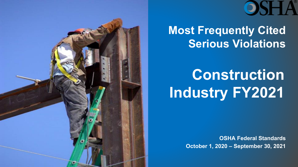



#### **Most Frequently Cited Serious Violations**

# **Construction Industry FY2021**

**OSHA Federal Standards October 1, 2020 – September 30, 2021**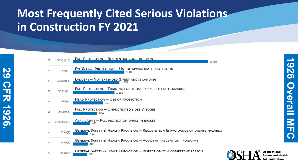#### **Most Frequently Cited Serious Violations in Construction FY 2021**

**29 CFR 1926.** 

**CFR 1926** 

82

| $\geq$ | .501(b)(13)   | FALL PROTECTION - RESIDENTIAL CONSTRUCTION<br>3,704                                    |
|--------|---------------|----------------------------------------------------------------------------------------|
| ш      | .102(a)(1)    | EYE & FACE PROTECTION - USE OF APPROPRIATE PROTECTION<br>1,408                         |
| $>\,$  | .1053(b)(1)   | LADDERS - NOT EXTENDED 3 FEET ABOVE LANDING<br>1.268                                   |
| Σ      | .503(a)(1)    | FALL PROTECTION - TRAINING FOR THOSE EXPOSED TO FALL HAZARDS<br>1,132                  |
| LL 3   | .100(a)       | HEAD PROTECTION - USE OF PROTECTION<br>818                                             |
| $\geq$ | .501(b)(1)    | FALL PROTECTION - UNPROTECTED SIDES & EDGES<br>664                                     |
|        | .453(b)(2)(v) | AERIAL LIFTS - FALL PROTECTION WHILE IN BASKET<br>465                                  |
| C      | .21(b)(2)     | GENERAL SAFETY & HEALTH PROVISION - RECOGNITION & AVOIDANCE OF UNSAFE HAZARDS<br>412   |
| C      | .20(b)(1)     | <b>GENERAL SAFETY &amp; HEALTH PROVISION - ACCIDENT PREVENTION PROGRAMS</b><br>402     |
| C      | .20(b)(2)     | <b>GENERAL SAFETY &amp; HEALTH PROVISION - INSPECTION BY A COMPETENT PERSON</b><br>391 |

**Occupational** Safety and Health **Administration**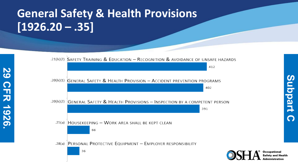## **General Safety & Health Provisions [1926.20 – .35]**

**29 CFR 1926.** 

**CFR 1926** 

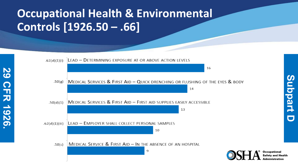### **Occupational Health & Environmental Controls [1926.50 – .66]**

**29 CFR 1926.** 

**CFR 1926** 

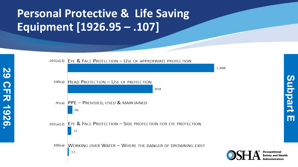### **Personal Protective & Life Saving Equipment [1926.95 – .107]**

**29 CFR 1926.** 

**CFR 1926** 

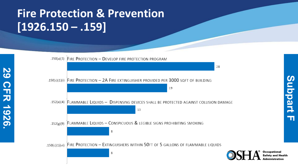#### **Fire Protection & Prevention [1926.150 – .159]**

**29 CFR 1926.** 

**CFR 1926** 

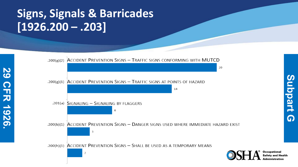### **Signs, Signals & Barricades [1926.200 – .203]**

**29 CFR 1926.** 

**CFR 1926** 

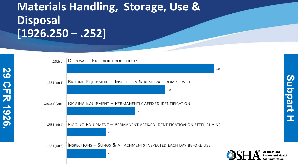## **Materials Handling, Storage, Use & Disposal [1926.250 – .252]**

**29 CFR 1926.** 

**CFR 1926** 

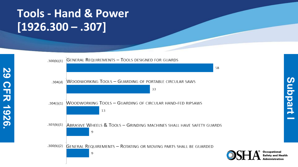### **Tools - Hand & Power [1926.300 – .307]**

**29 CFR 1926.** 

**CFR 1926** 

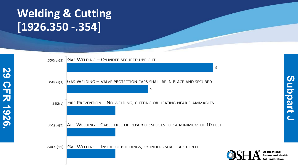## **Welding & Cutting [1926.350 -.354]**

**29 CFR 1926.** 

**CFR 1926** 

82



Occupational Administration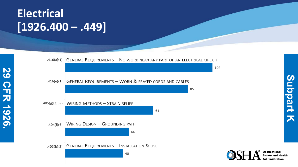### **Electrical [1926.400 – .449]**

**29 CFR 1926.** 

**CFR 1926** 



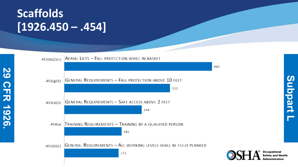## **Scaffolds [1926.450 – .454]**

**29 CFR 1926.** 

**CFR 1926** 

82



**Occupational**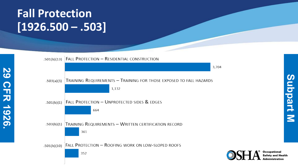#### **Fall Protection [1926.500 – .503]**

**29 CFR 1926.** 

**CFR 1926** 



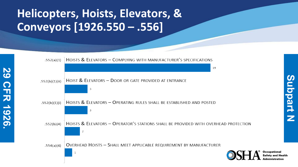## **Helicopters, Hoists, Elevators, & Conveyors [1926.550 – .556]**

**29 CFR 1926.** 

**CFR 1926** 

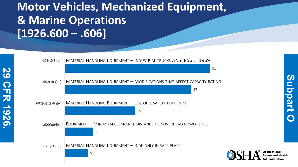### **Motor Vehicles, Mechanized Equipment, & Marine Operations [1926.600 – .606]**

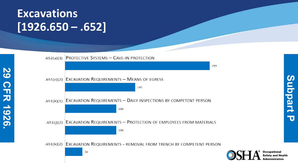#### **Excavations [1926.650 – .652]**

**29 CFR 1926.** 

**CFR 1926** 

82



**Occupational**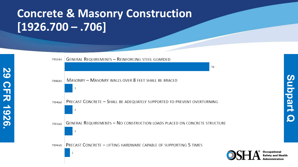### **Concrete & Masonry Construction [1926.700 – .706]**

**29 CFR 1926.** 

**FR 1926** 

82



Occupational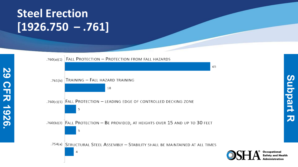### **Steel Erection [1926.750 – .761]**

**29 CFR 1926.** 

**CFR 1926** 

50



 $\boldsymbol{\omega}$ **Subpart R** ubpart 刀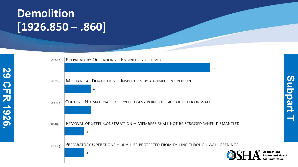#### **Demolition [1926.850 – .860]**

**29 CFR 1926.** 

**CFR 1926** 

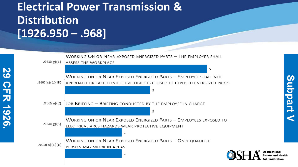## **Electrical Power Transmission & Distribution [1926.950 – .968]**

**29 CFR 1926.** 

**FR 1926** 

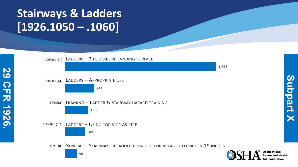## **Stairways & Ladders [1926.1050 – .1060]**

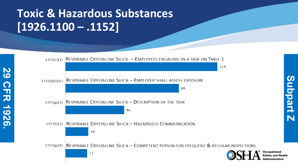## **Toxic & Hazardous Substances [1926.1100 – .1152]**

**29 CFR 1926.** 

**CFR 1926** 

32



**Subpart Z**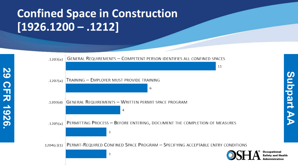## **Confined Space in Construction [1926.1200 – .1212]**

**29 CFR 1926.** 

**CFR 1926**